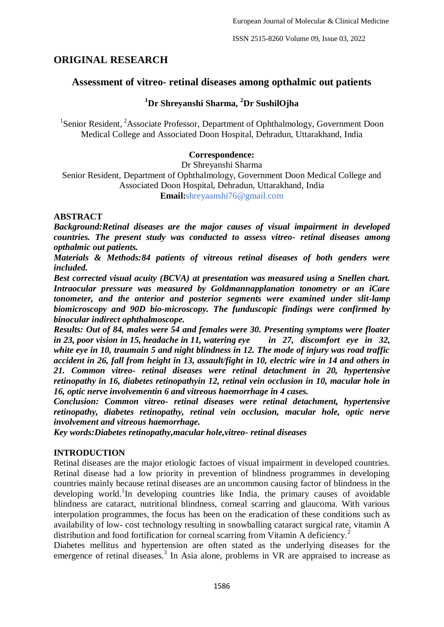ISSN 2515-8260 Volume 09, Issue 03, 2022

# **ORIGINAL RESEARCH**

## **Assessment of vitreo- retinal diseases among opthalmic out patients**

## **<sup>1</sup>Dr Shreyanshi Sharma, <sup>2</sup>Dr SushilOjha**

<sup>1</sup>Senior Resident, <sup>2</sup>Associate Professor, Department of Ophthalmology, Government Doon Medical College and Associated Doon Hospital, Dehradun, Uttarakhand, India

## **Correspondence:**

Dr Shreyanshi Sharma Senior Resident, Department of Ophthalmology, Government Doon Medical College and Associated Doon Hospital, Dehradun, Uttarakhand, India **Email:**shreyaanshi76@gmail.com

#### **ABSTRACT**

*Background:Retinal diseases are the major causes of visual impairment in developed countries. The present study was conducted to assess vitreo- retinal diseases among opthalmic out patients.* 

*Materials & Methods:84 patients of vitreous retinal diseases of both genders were included.* 

*Best corrected visual acuity (BCVA) at presentation was measured using a Snellen chart. Intraocular pressure was measured by Goldmannapplanation tonometry or an iCare tonometer, and the anterior and posterior segments were examined under slit-lamp biomicroscopy and 90D bio-microscopy. The funduscopic findings were confirmed by binocular indirect ophthalmoscope.* 

*Results: Out of 84, males were 54 and females were 30. Presenting symptoms were floater in 23, poor vision in 15, headache in 11, watering eye in 27, discomfort eye in 32, white eye in 10, traumain 5 and night blindness in 12. The mode of injury was road traffic accident in 26, fall from height in 13, assault/fight in 10, electric wire in 14 and others in 21. Common vitreo- retinal diseases were retinal detachment in 20, hypertensive retinopathy in 16, diabetes retinopathyin 12, retinal vein occlusion in 10, macular hole in 16, optic nerve involvementin 6 and vitreous haemorrhage in 4 cases.* 

*Conclusion: Common vitreo- retinal diseases were retinal detachment, hypertensive retinopathy, diabetes retinopathy, retinal vein occlusion, macular hole, optic nerve involvement and vitreous haemorrhage.*

*Key words:Diabetes retinopathy,macular hole,vitreo- retinal diseases*

#### **INTRODUCTION**

Retinal diseases are the major etiologic factoes of visual impairment in developed countries. Retinal disease had a low priority in prevention of blindness programmes in developing countries mainly because retinal diseases are an uncommon causing factor of blindness in the developing world.<sup>1</sup>In developing countries like India, the primary causes of avoidable blindness are cataract, nutritional blindness, corneal scarring and glaucoma. With various interpolation programmes, the focus has been on the eradication of these conditions such as availability of low- cost technology resulting in snowballing cataract surgical rate, vitamin A distribution and food fortification for corneal scarring from Vitamin A deficiency.<sup>2</sup>

Diabetes mellitus and hypertension are often stated as the underlying diseases for the emergence of retinal diseases.<sup>3</sup> In Asia alone, problems in VR are appraised to increase as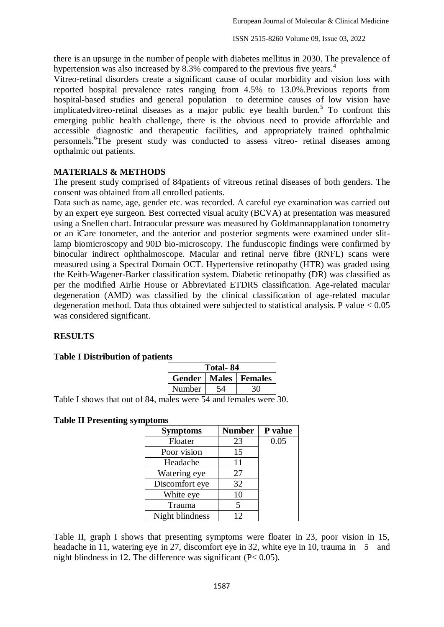there is an upsurge in the number of people with diabetes mellitus in 2030. The prevalence of hypertension was also increased by 8.3% compared to the previous five years.<sup>4</sup>

Vitreo-retinal disorders create a significant cause of ocular morbidity and vision loss with reported hospital prevalence rates ranging from 4.5% to 13.0%.Previous reports from hospital-based studies and general population to determine causes of low vision have implicatedvitreo-retinal diseases as a major public eye health burden.<sup>5</sup> To confront this emerging public health challenge, there is the obvious need to provide affordable and accessible diagnostic and therapeutic facilities, and appropriately trained ophthalmic personnels. <sup>6</sup>The present study was conducted to assess vitreo- retinal diseases among opthalmic out patients.

## **MATERIALS & METHODS**

The present study comprised of 84patients of vitreous retinal diseases of both genders. The consent was obtained from all enrolled patients.

Data such as name, age, gender etc. was recorded. A careful eye examination was carried out by an expert eye surgeon. Best corrected visual acuity (BCVA) at presentation was measured using a Snellen chart. Intraocular pressure was measured by Goldmannapplanation tonometry or an iCare tonometer, and the anterior and posterior segments were examined under slitlamp biomicroscopy and 90D bio-microscopy. The funduscopic findings were confirmed by binocular indirect ophthalmoscope. Macular and retinal nerve fibre (RNFL) scans were measured using a Spectral Domain OCT. Hypertensive retinopathy (HTR) was graded using the Keith-Wagener-Barker classification system. Diabetic retinopathy (DR) was classified as per the modified Airlie House or Abbreviated ETDRS classification. Age-related macular degeneration (AMD) was classified by the clinical classification of age-related macular degeneration method. Data thus obtained were subjected to statistical analysis. P value  $< 0.05$ was considered significant.

## **RESULTS**

#### **Table I Distribution of patients**

| Total- 84 |  |                                 |  |  |
|-----------|--|---------------------------------|--|--|
|           |  | <b>Gender   Males   Females</b> |  |  |
| Number    |  |                                 |  |  |

Table I shows that out of 84, males were 54 and females were 30.

#### **Table II Presenting symptoms**

| <b>Symptoms</b> | <b>Number</b> | P value |
|-----------------|---------------|---------|
| Floater         | 23            | 0.05    |
| Poor vision     | 15            |         |
| Headache        | 11            |         |
| Watering eye    | 27            |         |
| Discomfort eye  | 32            |         |
| White eye       | 10            |         |
| Trauma          | 5             |         |
| Night blindness | 12            |         |

Table II, graph I shows that presenting symptoms were floater in 23, poor vision in 15, headache in 11, watering eye in 27, discomfort eye in 32, white eye in 10, trauma in 5 and night blindness in 12. The difference was significant  $(P< 0.05)$ .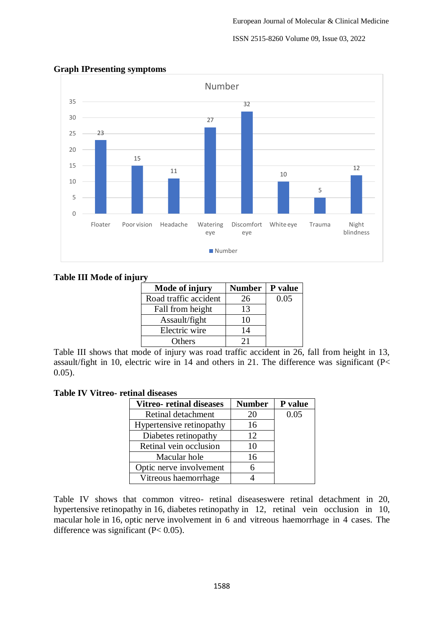## ISSN 2515-8260 Volume 09, Issue 03, 2022



## **Graph IPresenting symptoms**

## **Table III Mode of injury**

| Mode of injury        | Number   P value |      |
|-----------------------|------------------|------|
| Road traffic accident | 26               | 0.05 |
| Fall from height      | 13               |      |
| Assault/fight         | 10               |      |
| Electric wire         | 14               |      |
| Others                | 21               |      |

Table III shows that mode of injury was road traffic accident in 26, fall from height in 13, assault/fight in 10, electric wire in 14 and others in 21. The difference was significant (P< 0.05).

### **Table IV Vitreo- retinal diseases**

| <b>Vitreo-</b> retinal diseases | <b>Number</b> | P value |
|---------------------------------|---------------|---------|
| Retinal detachment              | 20            | 0.05    |
| Hypertensive retinopathy        | 16            |         |
| Diabetes retinopathy            | 12            |         |
| Retinal vein occlusion          | 10            |         |
| Macular hole                    | 16            |         |
| Optic nerve involvement         | 6             |         |
| Vitreous haemorrhage            |               |         |

Table IV shows that common vitreo- retinal diseaseswere retinal detachment in 20, hypertensive retinopathy in 16, diabetes retinopathy in 12, retinal vein occlusion in 10, macular hole in 16, optic nerve involvement in 6 and vitreous haemorrhage in 4 cases. The difference was significant  $(P< 0.05)$ .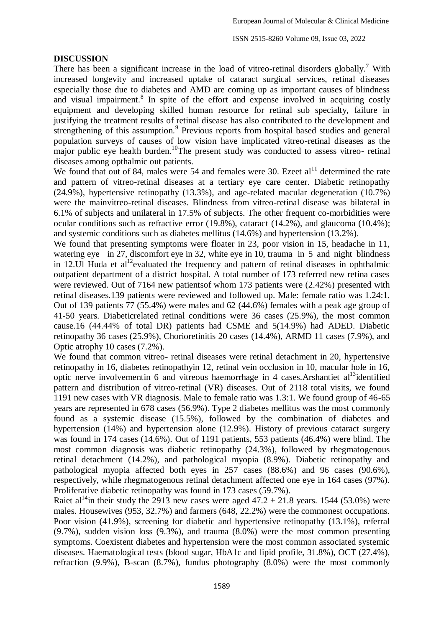#### **DISCUSSION**

There has been a significant increase in the load of vitreo-retinal disorders globally.<sup>7</sup> With increased longevity and increased uptake of cataract surgical services, retinal diseases especially those due to diabetes and AMD are coming up as important causes of blindness and visual impairment.<sup>8</sup> In spite of the effort and expense involved in acquiring costly equipment and developing skilled human resource for retinal sub specialty, failure in justifying the treatment results of retinal disease has also contributed to the development and strengthening of this assumption.<sup>9</sup> Previous reports from hospital based studies and general population surveys of causes of low vision have implicated vitreo-retinal diseases as the major public eye health burden.<sup>10</sup>The present study was conducted to assess vitreo- retinal diseases among opthalmic out patients.

We found that out of 84, males were 54 and females were 30. Ezeet  $al<sup>11</sup>$  determined the rate and pattern of vitreo-retinal diseases at a tertiary eye care center. Diabetic retinopathy (24.9%), hypertensive retinopathy (13.3%), and age-related macular degeneration (10.7%) were the mainvitreo-retinal diseases. Blindness from vitreo-retinal disease was bilateral in 6.1% of subjects and unilateral in 17.5% of subjects. The other frequent co-morbidities were ocular conditions such as refractive error (19.8%), cataract (14.2%), and glaucoma (10.4%); and systemic conditions such as diabetes mellitus (14.6%) and hypertension (13.2%).

We found that presenting symptoms were floater in 23, poor vision in 15, headache in 11, watering eye in 27, discomfort eye in 32, white eye in 10, trauma in 5 and night blindness in 12.Ul Huda et al<sup>12</sup>evaluated the frequency and pattern of retinal diseases in ophthalmic outpatient department of a district hospital. A total number of 173 referred new retina cases were reviewed. Out of 7164 new patientsof whom 173 patients were (2.42%) presented with retinal diseases.139 patients were reviewed and followed up. Male: female ratio was 1.24:1. Out of 139 patients 77 (55.4%) were males and 62 (44.6%) females with a peak age group of 41-50 years. Diabeticrelated retinal conditions were 36 cases (25.9%), the most common cause.16 (44.44% of total DR) patients had CSME and 5(14.9%) had ADED. Diabetic retinopathy 36 cases (25.9%), Chorioretinitis 20 cases (14.4%), ARMD 11 cases (7.9%), and Optic atrophy 10 cases (7.2%).

We found that common vitreo- retinal diseases were retinal detachment in 20, hypertensive retinopathy in 16, diabetes retinopathyin 12, retinal vein occlusion in 10, macular hole in 16, optic nerve involvement in 6 and vitreous haemorrhage in 4 cases. Arshantiet al<sup>13</sup>identified pattern and distribution of vitreo-retinal (VR) diseases. Out of 2118 total visits, we found 1191 new cases with VR diagnosis. Male to female ratio was 1.3:1. We found group of 46-65 years are represented in 678 cases (56.9%). Type 2 diabetes mellitus was the most commonly found as a systemic disease (15.5%), followed by the combination of diabetes and hypertension (14%) and hypertension alone (12.9%). History of previous cataract surgery was found in 174 cases (14.6%). Out of 1191 patients, 553 patients (46.4%) were blind. The most common diagnosis was diabetic retinopathy (24.3%), followed by rhegmatogenous retinal detachment (14.2%), and pathological myopia (8.9%). Diabetic retinopathy and pathological myopia affected both eyes in 257 cases (88.6%) and 96 cases (90.6%), respectively, while rhegmatogenous retinal detachment affected one eye in 164 cases (97%). Proliferative diabetic retinopathy was found in 173 cases (59.7%).

Raiet al<sup>14</sup>in their study the 2913 new cases were aged  $47.2 \pm 21.8$  years. 1544 (53.0%) were males. Housewives (953, 32.7%) and farmers (648, 22.2%) were the commonest occupations. Poor vision (41.9%), screening for diabetic and hypertensive retinopathy (13.1%), referral (9.7%), sudden vision loss (9.3%), and trauma (8.0%) were the most common presenting symptoms. Coexistent diabetes and hypertension were the most common associated systemic diseases. Haematological tests (blood sugar, HbA1c and lipid profile, 31.8%), OCT (27.4%), refraction  $(9.9\%)$ , B-scan  $(8.7\%)$ , fundus photography  $(8.0\%)$  were the most commonly